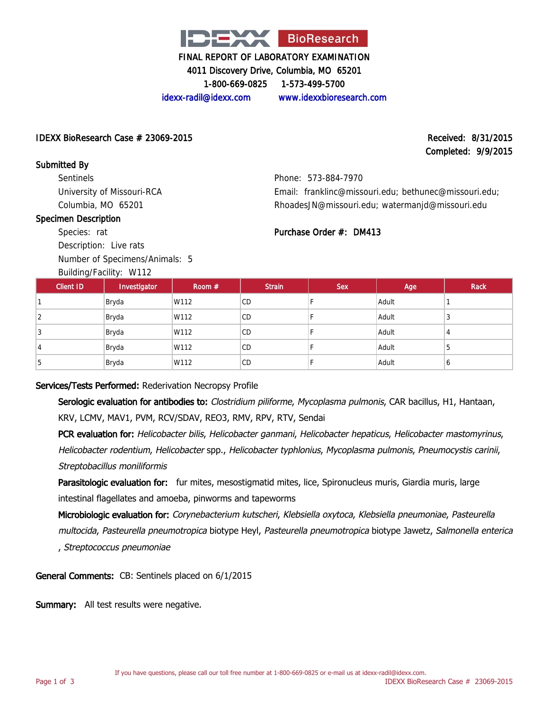

4011 Discovery Drive, Columbia, MO 65201

1-800-669-0825 1-573-499-5700

idexx-radil@idexx.com www.idexxbioresearch.com

### $\Delta$ IDEXX BioResearch Case  $\#$  23069-2015 Received: 8/31/2015

# Completed: 9/9/2015

IDEXX BioResearch Case # 23069-2015

Submitted By **Sentinels** University of Missouri-RCA Columbia, MO 65201

#### Specimen Description

Species: rat

Description: Live rats Number of Specimens/Animals: 5

Building/Facility: W112

Phone: 573-884-7970 Email: franklinc@missouri.edu; bethunec@missouri.edu; RhoadesJN@missouri.edu; watermanjd@missouri.edu

# Purchase Order #: DM413

| <b>Client ID</b> | Investigator | Room $#$ | <b>Strain</b> | <b>Sex</b> | Age   | <b>Rack</b> |
|------------------|--------------|----------|---------------|------------|-------|-------------|
|                  | Bryda        | W112     | <b>CD</b>     |            | Adult |             |
|                  | Bryda        | W112     | <b>CD</b>     |            | Adult | N           |
|                  | Bryda        | W112     | <b>CD</b>     |            | Adult |             |
| 4                | Bryda        | W112     | CD.           |            | Adult | b           |
| <sub>5</sub>     | Bryda        | W112     | <b>CD</b>     |            | Adult | O           |

# Services/Tests Performed: Rederivation Necropsy Profile

Serologic evaluation for antibodies to: Clostridium piliforme, Mycoplasma pulmonis, CAR bacillus, H1, Hantaan, KRV, LCMV, MAV1, PVM, RCV/SDAV, REO3, RMV, RPV, RTV, Sendai

PCR evaluation for: Helicobacter bilis, Helicobacter ganmani, Helicobacter hepaticus, Helicobacter mastomyrinus, Helicobacter rodentium, Helicobacter spp., Helicobacter typhlonius, Mycoplasma pulmonis, Pneumocystis carinii, Streptobacillus moniliformis

Parasitologic evaluation for: fur mites, mesostigmatid mites, lice, Spironucleus muris, Giardia muris, large intestinal flagellates and amoeba, pinworms and tapeworms

Microbiologic evaluation for: Corynebacterium kutscheri, Klebsiella oxytoca, Klebsiella pneumoniae, Pasteurella multocida, Pasteurella pneumotropica biotype Heyl, Pasteurella pneumotropica biotype Jawetz, Salmonella enterica , Streptococcus pneumoniae

General Comments: CB: Sentinels placed on 6/1/2015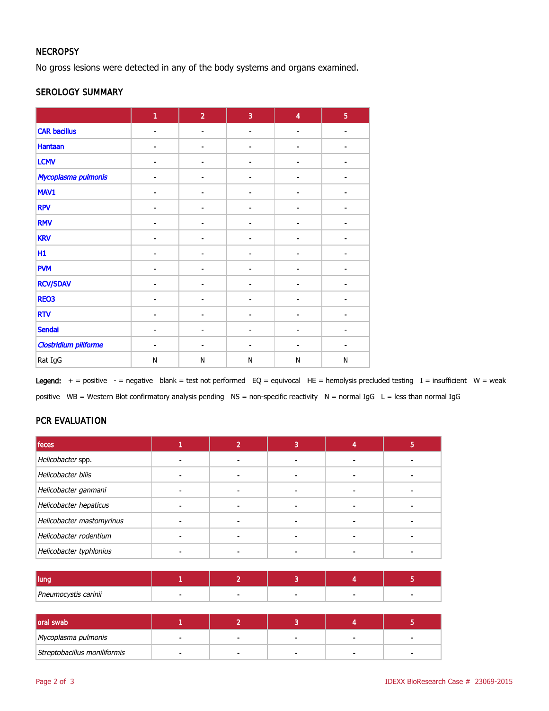# **NECROPSY**

No gross lesions were detected in any of the body systems and organs examined.

### SEROLOGY SUMMARY

|                              | $\mathbf{1}$             | $\overline{2}$               | $\overline{3}$               | $\overline{4}$  | $\overline{5}$ |
|------------------------------|--------------------------|------------------------------|------------------------------|-----------------|----------------|
| <b>CAR bacillus</b>          | $\overline{\phantom{a}}$ | $\overline{\phantom{a}}$     | $\overline{\phantom{a}}$     | $\qquad \qquad$ | $\blacksquare$ |
| <b>Hantaan</b>               |                          |                              |                              |                 |                |
| <b>LCMV</b>                  |                          |                              |                              |                 |                |
| Mycoplasma pulmonis          |                          |                              |                              |                 |                |
| MAV1                         | $\blacksquare$           | $\overline{\phantom{a}}$     | $\qquad \qquad \blacksquare$ | $\blacksquare$  |                |
| <b>RPV</b>                   | $\blacksquare$           | $\blacksquare$               | $\blacksquare$               | ä,              |                |
| <b>RMV</b>                   |                          |                              |                              |                 |                |
| <b>KRV</b>                   |                          | $\qquad \qquad \blacksquare$ |                              |                 |                |
| H1                           | $\blacksquare$           | $\blacksquare$               | $\blacksquare$               | ä,              |                |
| <b>PVM</b>                   | $\overline{\phantom{a}}$ | $\qquad \qquad \blacksquare$ |                              | $\blacksquare$  |                |
| <b>RCV/SDAV</b>              |                          |                              |                              |                 |                |
| REO3                         |                          |                              |                              |                 |                |
| <b>RTV</b>                   |                          |                              |                              |                 |                |
| Sendai                       | $\blacksquare$           | $\overline{\phantom{a}}$     | $\blacksquare$               | $\blacksquare$  |                |
| <b>Clostridium piliforme</b> | ٠                        | $\blacksquare$               | ÷                            | ä,              |                |
| Rat IgG                      | $\mathsf{N}$             | $\mathsf{N}$                 | N                            | N               | N              |

Legend:  $+$  = positive  $-$  = negative blank = test not performed EQ = equivocal HE = hemolysis precluded testing I = insufficient W = weak positive WB = Western Blot confirmatory analysis pending NS = non-specific reactivity N = normal IgG L = less than normal IgG

# PCR EVALUATION

| feces                     |  |  |  |
|---------------------------|--|--|--|
| Helicobacter spp.         |  |  |  |
| Helicobacter bilis        |  |  |  |
| Helicobacter ganmani      |  |  |  |
| Helicobacter hepaticus    |  |  |  |
| Helicobacter mastomyrinus |  |  |  |
| Helicobacter rodentium    |  |  |  |
| Helicobacter typhlonius   |  |  |  |

| lung                 |  |                          |  |
|----------------------|--|--------------------------|--|
| Pneumocystis carinii |  | $\overline{\phantom{a}}$ |  |

| oral swab                    |  |        |  |
|------------------------------|--|--------|--|
| Mycoplasma pulmonis          |  | $\sim$ |  |
| Streptobacillus moniliformis |  |        |  |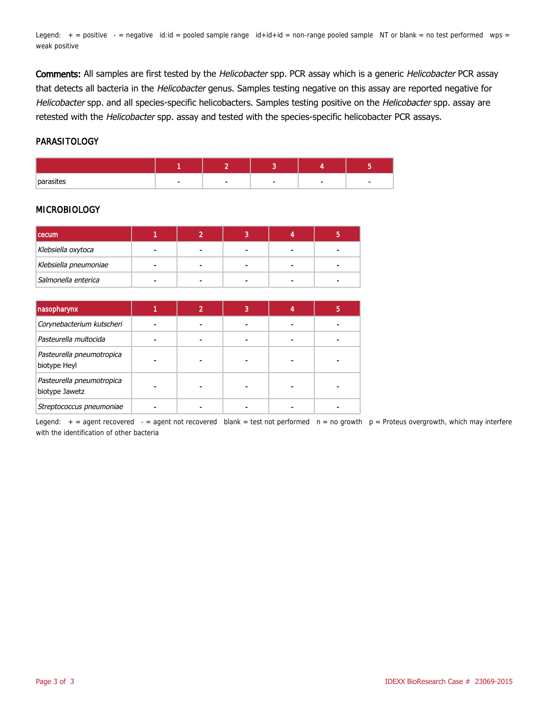Legend:  $+$  = positive  $-$  = negative id:id = pooled sample range  $id+id+id$  = non-range pooled sample NT or blank = no test performed wps = weak positive

Comments: All samples are first tested by the Helicobacter spp. PCR assay which is a generic Helicobacter PCR assay that detects all bacteria in the Helicobacter genus. Samples testing negative on this assay are reported negative for Helicobacter spp. and all species-specific helicobacters. Samples testing positive on the Helicobacter spp. assay are retested with the Helicobacter spp. assay and tested with the species-specific helicobacter PCR assays.

#### PARASITOLOGY

| nor- |  |  |  |
|------|--|--|--|

#### MICROBIOLOGY

| <b>cecum</b>          |                |                |  |
|-----------------------|----------------|----------------|--|
| Klebsiella oxytoca    |                | $\blacksquare$ |  |
| Klebsiella pneumoniae | $\blacksquare$ | $\blacksquare$ |  |
| Salmonella enterica   |                |                |  |

| nasopharynx                                 | າ | 3 | b |
|---------------------------------------------|---|---|---|
| Corynebacterium kutscheri                   |   |   |   |
| Pasteurella multocida                       |   |   |   |
| Pasteurella pneumotropica<br>biotype Heyl   |   |   |   |
| Pasteurella pneumotropica<br>biotype Jawetz |   |   |   |
| Streptococcus pneumoniae                    |   |   |   |

Legend:  $+$  = agent recovered  $-$  = agent not recovered blank = test not performed  $n =$  no growth  $p =$  Proteus overgrowth, which may interfere with the identification of other bacteria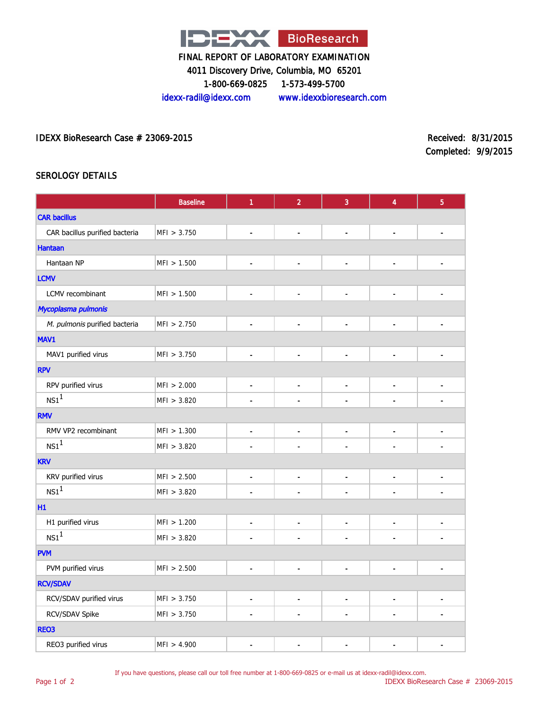

4011 Discovery Drive, Columbia, MO 65201

1-800-669-0825 1-573-499-5700

idexx-radil@idexx.com www.idexxbioresearch.com

IDEXX BioResearch Case # 23069-2015 Received: 8/31/2015

Completed: 9/9/2015

# SEROLOGY DETAILS

|                                | <b>Baseline</b> | $\mathbf{1}$                 | $\overline{2}$           | 3                            | 4                            | $\sqrt{5}$               |
|--------------------------------|-----------------|------------------------------|--------------------------|------------------------------|------------------------------|--------------------------|
| <b>CAR bacillus</b>            |                 |                              |                          |                              |                              |                          |
| CAR bacillus purified bacteria | MFI > 3.750     | $\qquad \qquad \blacksquare$ | $\blacksquare$           | $\overline{a}$               | $\blacksquare$               | $\overline{\phantom{0}}$ |
| <b>Hantaan</b>                 |                 |                              |                          |                              |                              |                          |
| Hantaan NP                     | MFI > 1.500     | $\blacksquare$               | $\blacksquare$           | $\blacksquare$               | $\qquad \qquad \blacksquare$ | $\blacksquare$           |
| <b>LCMV</b>                    |                 |                              |                          |                              |                              |                          |
| LCMV recombinant               | MFI > 1.500     | $\qquad \qquad \blacksquare$ | $\blacksquare$           | $\qquad \qquad \blacksquare$ | $\blacksquare$               | $\overline{\phantom{a}}$ |
| Mycoplasma pulmonis            |                 |                              |                          |                              |                              |                          |
| M. pulmonis purified bacteria  | MFI > 2.750     | $\qquad \qquad \blacksquare$ | $\blacksquare$           |                              | $\blacksquare$               | ٠                        |
| MAV1                           |                 |                              |                          |                              |                              |                          |
| MAV1 purified virus            | MFI > 3.750     | $\blacksquare$               | $\overline{\phantom{a}}$ | $\qquad \qquad \blacksquare$ | $\qquad \qquad \blacksquare$ | $\overline{a}$           |
| <b>RPV</b>                     |                 |                              |                          |                              |                              |                          |
| RPV purified virus             | MFI > 2.000     | $\blacksquare$               | $\overline{\phantom{a}}$ | $\overline{a}$               | $\blacksquare$               | $\blacksquare$           |
| $NS1^1$                        | MFI > 3.820     | $\blacksquare$               |                          | $\blacksquare$               | $\blacksquare$               | $\blacksquare$           |
| <b>RMV</b>                     |                 |                              |                          |                              |                              |                          |
| RMV VP2 recombinant            | MFI > 1.300     | $\blacksquare$               | $\blacksquare$           | $\overline{a}$               | $\blacksquare$               | $\blacksquare$           |
| NS1 <sup>1</sup>               | MFI > 3.820     | $\overline{a}$               |                          | $\overline{a}$               | L.                           | L.                       |
| <b>KRV</b>                     |                 |                              |                          |                              |                              |                          |
| KRV purified virus             | MFI > 2.500     | $\blacksquare$               | $\overline{\phantom{a}}$ | $\qquad \qquad \blacksquare$ | $\blacksquare$               | $\blacksquare$           |
| NS1 <sup>1</sup>               | MFI > 3.820     | $\overline{a}$               | $\overline{a}$           | $\blacksquare$               | $\blacksquare$               | $\overline{a}$           |
| H1                             |                 |                              |                          |                              |                              |                          |
| H1 purified virus              | MFI > 1.200     | $\blacksquare$               | $\overline{a}$           | $\blacksquare$               | $\overline{a}$               | $\overline{a}$           |
| NS1 <sup>1</sup>               | MFI > 3.820     | $\blacksquare$               | $\overline{a}$           | $\overline{a}$               | $\blacksquare$               | $\overline{a}$           |
| <b>PVM</b>                     |                 |                              |                          |                              |                              |                          |
| PVM purified virus             | MFI > 2.500     | $\blacksquare$               | $\blacksquare$           | $\blacksquare$               | Ĭ.                           | Ĭ.                       |
| <b>RCV/SDAV</b>                |                 |                              |                          |                              |                              |                          |
| RCV/SDAV purified virus        | MFI > 3.750     | $\blacksquare$               | $\blacksquare$           | $\frac{1}{2}$                | $\frac{1}{2}$                | ٠                        |
| RCV/SDAV Spike                 | MFI > 3.750     | L,                           | $\overline{a}$           | $\overline{a}$               | $\overline{a}$               | $\overline{a}$           |
| REO3                           |                 |                              |                          |                              |                              |                          |
| REO3 purified virus            | MFI > 4.900     | $\overline{a}$               | ä,                       | ÷,                           |                              | ä,                       |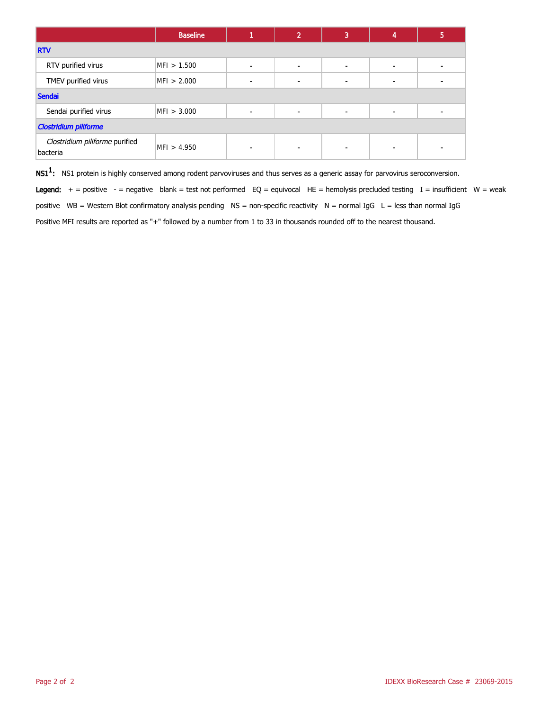|                                            | <b>Baseline</b> |   | $\mathbf{2}^{\prime}$ | 3              | 4                        | 5 |  |
|--------------------------------------------|-----------------|---|-----------------------|----------------|--------------------------|---|--|
| <b>RTV</b>                                 |                 |   |                       |                |                          |   |  |
| RTV purified virus                         | MFI > 1.500     | ٠ | $\blacksquare$        | $\blacksquare$ | $\blacksquare$           |   |  |
| TMEV purified virus                        | MFI > 2.000     | ٠ |                       |                | $\blacksquare$           |   |  |
| Sendai                                     |                 |   |                       |                |                          |   |  |
| Sendai purified virus                      | MFI > 3.000     | ٠ | $\blacksquare$        | $\blacksquare$ | $\blacksquare$           |   |  |
| <b>Clostridium piliforme</b>               |                 |   |                       |                |                          |   |  |
| Clostridium piliforme purified<br>bacteria | MFI > 4.950     | - |                       |                | $\overline{\phantom{a}}$ |   |  |

 $\mathsf{NS1^1}\text{:}$  NS1 protein is highly conserved among rodent parvoviruses and thus serves as a generic assay for parvovirus seroconversion.

Legend:  $+$  = positive  $-$  = negative blank = test not performed EQ = equivocal HE = hemolysis precluded testing I = insufficient W = weak positive WB = Western Blot confirmatory analysis pending NS = non-specific reactivity N = normal IgG L = less than normal IgG Positive MFI results are reported as "+" followed by a number from 1 to 33 in thousands rounded off to the nearest thousand.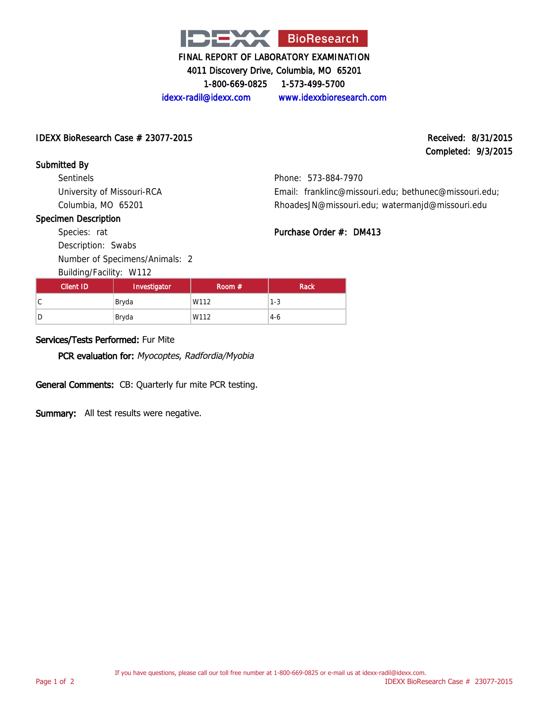

4011 Discovery Drive, Columbia, MO 65201

1-800-669-0825 1-573-499-5700

idexx-radil@idexx.com www.idexxbioresearch.com

### $\Delta$ IDEXX BioResearch Case  $\#$  23077-2015 Received: 8/31/2015

# Completed: 9/3/2015

# Submitted By

Sentinels University of Missouri-RCA Columbia, MO 65201

Phone: 573-884-7970 Email: franklinc@missouri.edu; bethunec@missouri.edu; RhoadesJN@missouri.edu; watermanjd@missouri.edu

# Specimen Description Species: rat

Purchase Order #: DM413

Number of Specimens/Animals: 2

Building/Facility: W112

| Client ID | Investigator | Room $#$ | Rack  |
|-----------|--------------|----------|-------|
| ◡         | Bryda        | W112     | 1-3   |
| D         | Bryda        | W112     | $4-6$ |

# Services/Tests Performed: Fur Mite

PCR evaluation for: Myocoptes, Radfordia/Myobia

General Comments: CB: Quarterly fur mite PCR testing.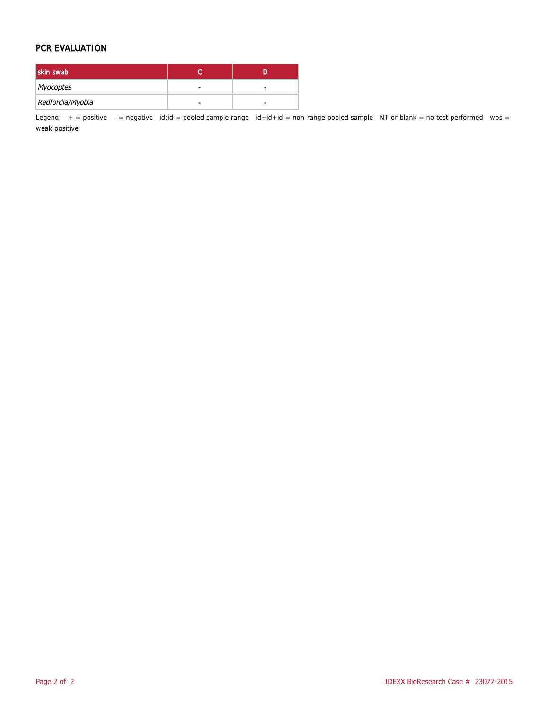### PCR EVALUATION

| skin swab        |   |   |
|------------------|---|---|
| Myocoptes        | - | - |
| Radfordia/Myobia |   |   |

Legend:  $+$  = positive  $-$  = negative id:id = pooled sample range id+id+id = non-range pooled sample NT or blank = no test performed wps = weak positive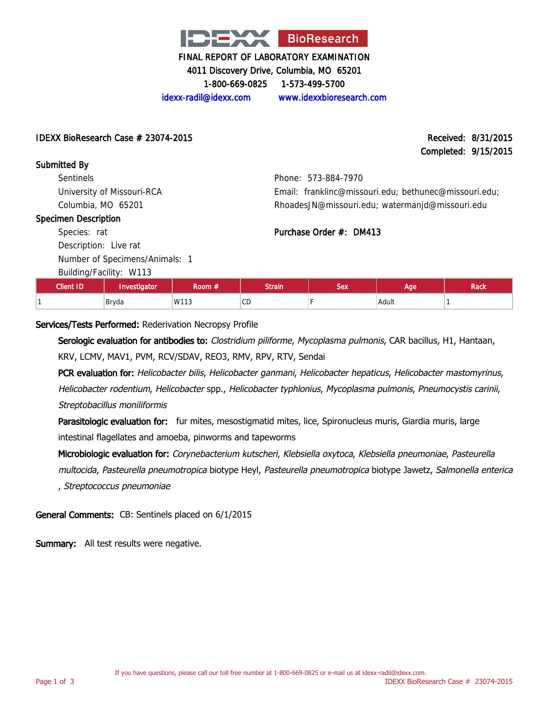

4011 Discovery Drive, Columbia, MO 65201

1-800-669-0825 1-573-499-5700

idexx-radil@idexx.com www.idexxbioresearch.com

 $\Delta$ IDEXX BioResearch Case  $\#$  23074-2015 Received: 8/31/2015

Completed: 9/15/2015

### Submitted By

**Sentinels** University of Missouri-RCA Columbia, MO 65201

#### Specimen Description

Species: rat Description: Live rat

Number of Specimens/Animals: 1

Building/Facility: W113

Phone: 573-884-7970 Email: franklinc@missouri.edu; bethunec@missouri.edu; RhoadesJN@missouri.edu; watermanjd@missouri.edu

# Purchase Order #: DM413

| PQHQHQHQHQHHQHQHQ |              |        |                     |     |       |      |
|-------------------|--------------|--------|---------------------|-----|-------|------|
| <b>Client ID</b>  | Investigator | ≀oom # | <b>Strain</b>       | Sex | Age   | Rack |
|                   | Bryda        | W113   | $\sim$ $\sim$<br>◡◡ |     | Adult |      |

# Services/Tests Performed: Rederivation Necropsy Profile

Serologic evaluation for antibodies to: Clostridium piliforme, Mycoplasma pulmonis, CAR bacillus, H1, Hantaan, KRV, LCMV, MAV1, PVM, RCV/SDAV, REO3, RMV, RPV, RTV, Sendai

PCR evaluation for: Helicobacter bilis, Helicobacter ganmani, Helicobacter hepaticus, Helicobacter mastomyrinus, Helicobacter rodentium, Helicobacter spp., Helicobacter typhlonius, Mycoplasma pulmonis, Pneumocystis carinii, Streptobacillus moniliformis

Parasitologic evaluation for: fur mites, mesostigmatid mites, lice, Spironucleus muris, Giardia muris, large intestinal flagellates and amoeba, pinworms and tapeworms

Microbiologic evaluation for: Corynebacterium kutscheri, Klebsiella oxytoca, Klebsiella pneumoniae, Pasteurella multocida, Pasteurella pneumotropica biotype Heyl, Pasteurella pneumotropica biotype Jawetz, Salmonella enterica , Streptococcus pneumoniae

General Comments: CB: Sentinels placed on 6/1/2015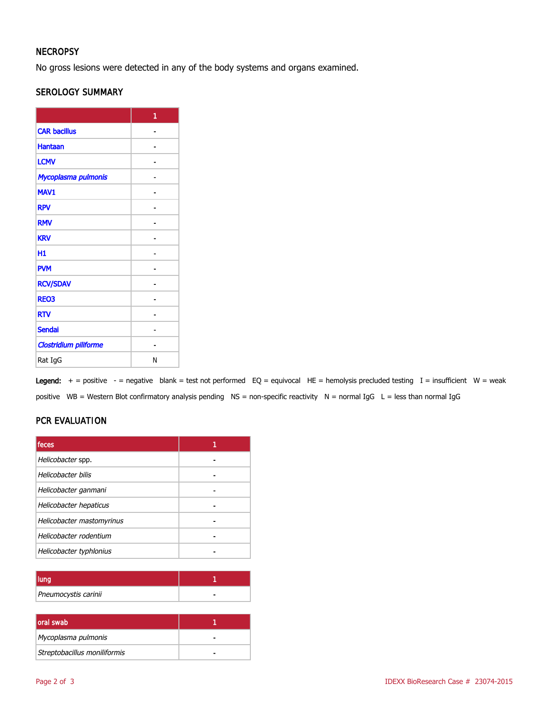# **NECROPSY**

No gross lesions were detected in any of the body systems and organs examined.

# SEROLOGY SUMMARY

|                       | 1 |
|-----------------------|---|
| <b>CAR bacillus</b>   |   |
| <b>Hantaan</b>        |   |
| <b>LCMV</b>           |   |
| Mycoplasma pulmonis   |   |
| MAV1                  |   |
| <b>RPV</b>            |   |
| <b>RMV</b>            |   |
| <b>KRV</b>            |   |
| H1                    |   |
| <b>PVM</b>            |   |
| <b>RCV/SDAV</b>       |   |
| <b>REO3</b>           |   |
| <b>RTV</b>            |   |
| <b>Sendai</b>         |   |
| Clostridium piliforme |   |
| Rat IgG               | N |

Legend:  $+$  = positive  $-$  = negative blank = test not performed EQ = equivocal HE = hemolysis precluded testing I = insufficient W = weak positive WB = Western Blot confirmatory analysis pending NS = non-specific reactivity N = normal IgG L = less than normal IgG

# PCR EVALUATION

| feces                     |  |
|---------------------------|--|
| Helicobacter spp.         |  |
| Helicobacter bilis        |  |
| Helicobacter ganmani      |  |
| Helicobacter hepaticus    |  |
| Helicobacter mastomyrinus |  |
| Helicobacter rodentium    |  |
| Helicobacter typhlonius   |  |

| Pneumocystis carinii |  |
|----------------------|--|

| <b>loral swab</b>            |  |
|------------------------------|--|
| Mycoplasma pulmonis          |  |
| Streptobacillus moniliformis |  |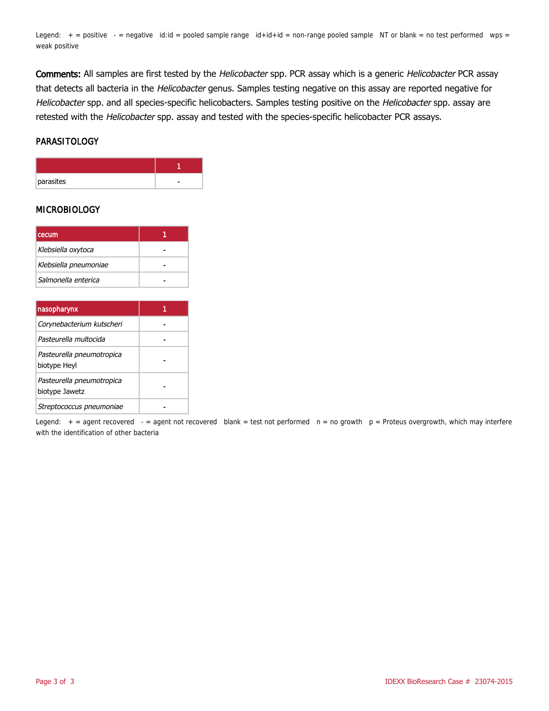Legend:  $+$  = positive  $-$  = negative id:id = pooled sample range  $id+id+id$  = non-range pooled sample NT or blank = no test performed wps = weak positive

Comments: All samples are first tested by the Helicobacter spp. PCR assay which is a generic Helicobacter PCR assay that detects all bacteria in the Helicobacter genus. Samples testing negative on this assay are reported negative for Helicobacter spp. and all species-specific helicobacters. Samples testing positive on the Helicobacter spp. assay are retested with the Helicobacter spp. assay and tested with the species-specific helicobacter PCR assays.

#### **PARASITOLOGY**

| parasites |  |
|-----------|--|

### MICROBIOLOGY

| <b>cecum</b>          |  |
|-----------------------|--|
| Klebsiella oxytoca    |  |
| Klebsiella pneumoniae |  |
| Salmonella enterica   |  |

| nasopharynx                                 |  |
|---------------------------------------------|--|
| Corynebacterium kutscheri                   |  |
| Pasteurella multocida                       |  |
| Pasteurella pneumotropica<br>biotype Heyl   |  |
| Pasteurella pneumotropica<br>biotype Jawetz |  |
| Streptococcus pneumoniae                    |  |

Legend:  $+$  = agent recovered  $-$  = agent not recovered blank = test not performed  $n = no$  growth  $p =$  Proteus overgrowth, which may interfere with the identification of other bacteria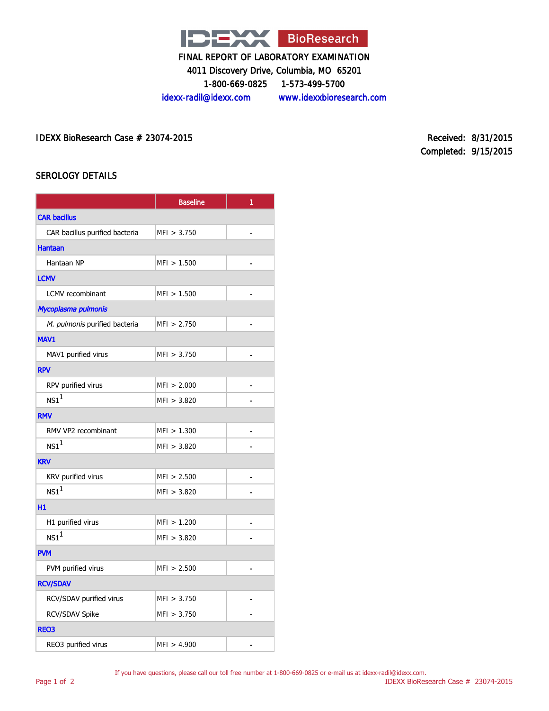

4011 Discovery Drive, Columbia, MO 65201

1-800-669-0825 1-573-499-5700

idexx-radil@idexx.com www.idexxbioresearch.com

IDEXX BioResearch Case # 23074-2015 Received: 8/31/2015

Completed: 9/15/2015

# SEROLOGY DETAILS

|                                | <b>Baseline</b> | 1              |  |
|--------------------------------|-----------------|----------------|--|
| <b>CAR bacillus</b>            |                 |                |  |
| CAR bacillus purified bacteria | MFI > 3.750     | ä,             |  |
| <b>Hantaan</b>                 |                 |                |  |
| Hantaan NP                     | MFI > 1.500     |                |  |
| <b>LCMV</b>                    |                 |                |  |
| LCMV recombinant               | MFI > 1.500     | $\blacksquare$ |  |
| Mycoplasma pulmonis            |                 |                |  |
| M. pulmonis purified bacteria  | MFI > 2.750     |                |  |
| MAV1                           |                 |                |  |
| MAV1 purified virus            | MFI > 3.750     | $\overline{a}$ |  |
| <b>RPV</b>                     |                 |                |  |
| RPV purified virus             | MFI > 2.000     |                |  |
| NS1 <sup>1</sup>               | MFI > 3.820     |                |  |
| <b>RMV</b>                     |                 |                |  |
| RMV VP2 recombinant            | MFI > 1.300     |                |  |
| NS1 <sup>1</sup>               | MFI > 3.820     |                |  |
| <b>KRV</b>                     |                 |                |  |
| KRV purified virus             | MFI > 2.500     |                |  |
| NS1 <sup>1</sup>               | MFI > 3.820     |                |  |
| H1                             |                 |                |  |
| H1 purified virus              | MFI > 1.200     |                |  |
| NS1 <sup>1</sup>               | MFI > 3.820     |                |  |
| <b>PVM</b>                     |                 |                |  |
| PVM purified virus             | MFI > 2.500     |                |  |
| <b>RCV/SDAV</b>                |                 |                |  |
| RCV/SDAV purified virus        | MFI > 3.750     |                |  |
| RCV/SDAV Spike                 | MFI > 3.750     |                |  |
| <b>REO3</b>                    |                 |                |  |
| REO3 purified virus            | MFI > 4.900     |                |  |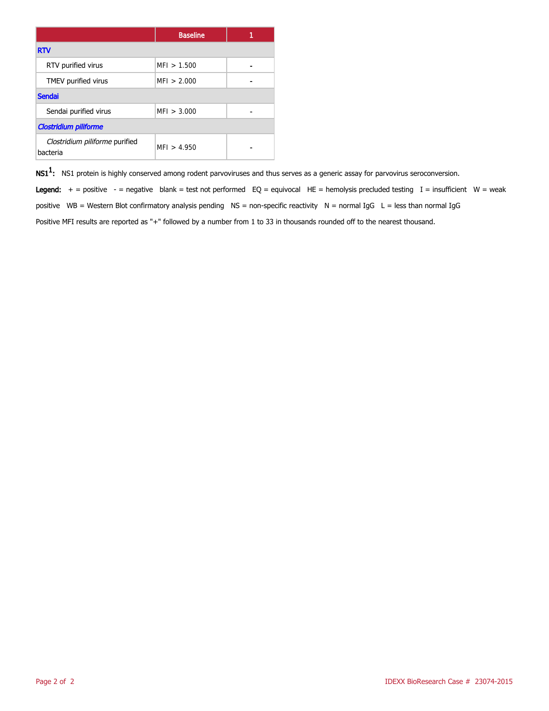|                                            | <b>Baseline</b> |  |
|--------------------------------------------|-----------------|--|
| <b>RTV</b>                                 |                 |  |
| RTV purified virus                         | MFI > 1.500     |  |
| TMEV purified virus                        | MFI > 2.000     |  |
| <b>Sendai</b>                              |                 |  |
| Sendai purified virus                      | MFI > 3.000     |  |
| <b>Clostridium piliforme</b>               |                 |  |
| Clostridium piliforme purified<br>bacteria | MFI > 4.950     |  |

 $\mathsf{NS1^1}\text{:}$  NS1 protein is highly conserved among rodent parvoviruses and thus serves as a generic assay for parvovirus seroconversion.

Legend:  $+$  = positive - = negative blank = test not performed EQ = equivocal HE = hemolysis precluded testing I = insufficient W = weak positive WB = Western Blot confirmatory analysis pending  $NS =$  non-specific reactivity  $N =$  normal IgG  $L =$  less than normal IgG Positive MFI results are reported as "+" followed by a number from 1 to 33 in thousands rounded off to the nearest thousand.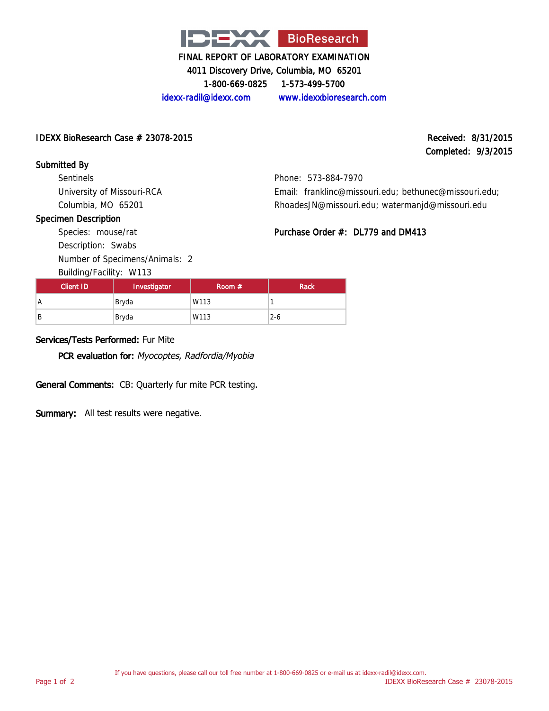

4011 Discovery Drive, Columbia, MO 65201

1-800-669-0825 1-573-499-5700

idexx-radil@idexx.com www.idexxbioresearch.com

 $\Delta$ IDEXX BioResearch Case  $\#$  23078-2015 Received: 8/31/2015

# Completed: 9/3/2015

Submitted By

Sentinels University of Missouri-RCA Columbia, MO 65201

Phone: 573-884-7970 Email: franklinc@missouri.edu; bethunec@missouri.edu; RhoadesJN@missouri.edu; watermanjd@missouri.edu

Purchase Order #: DL779 and DM413

### Specimen Description

Species: mouse/rat Description: Swabs

Number of Specimens/Animals: 2

Building/Facility: W113

| Client ID | - -<br>Investigator | Room $#$ | Rack    |
|-----------|---------------------|----------|---------|
| Α         | Bryda               | W113     |         |
| B         | Bryda               | W113     | $2 - 6$ |

# Services/Tests Performed: Fur Mite

PCR evaluation for: Myocoptes, Radfordia/Myobia

General Comments: CB: Quarterly fur mite PCR testing.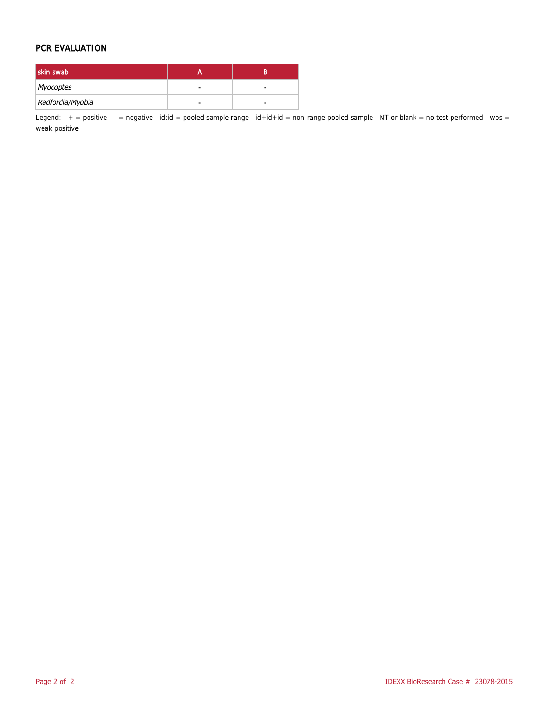### PCR EVALUATION

| skin swab        |   |   |
|------------------|---|---|
| Myocoptes        | - | - |
| Radfordia/Myobia |   |   |

Legend:  $+$  = positive  $-$  = negative id:id = pooled sample range id+id+id = non-range pooled sample NT or blank = no test performed wps = weak positive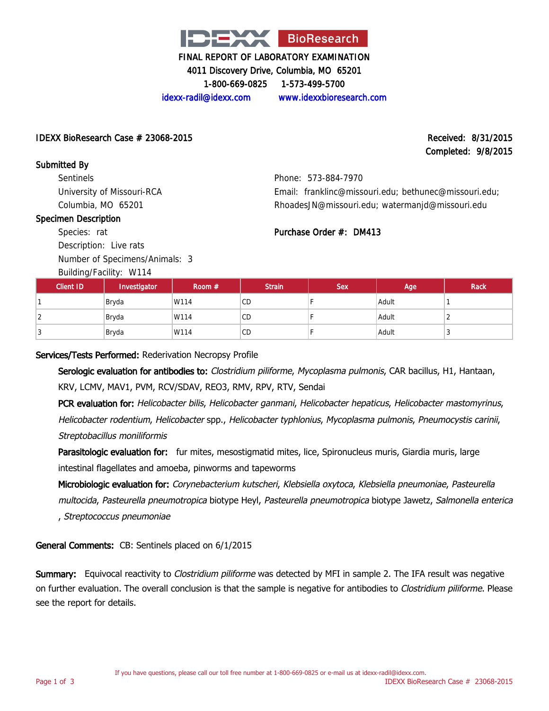

4011 Discovery Drive, Columbia, MO 65201

1-800-669-0825 1-573-499-5700

idexx-radil@idexx.com www.idexxbioresearch.com

### $\Delta$ IDEXX BioResearch Case  $\#$  23068-2015 Received: 8/31/2015

# Completed: 9/8/2015

Submitted By **Sentinels** University of Missouri-RCA Columbia, MO 65201

# Phone: 573-884-7970

### Specimen Description

Species: rat Description: Live rats

Number of Specimens/Animals: 3

Building/Facility: W114

| Phone: 573-884-7970                                   |  |
|-------------------------------------------------------|--|
| Email: franklinc@missouri.edu: bethunec@missouri.edu: |  |
| RhoadesJN@missouri.edu; watermanjd@missouri.edu       |  |

# Purchase Order #: DM413

| <b>Client ID</b> | Investigator | Room $#$ | <b>Strain</b> | <b>Sex</b> | Age   | <b>Rack</b> |
|------------------|--------------|----------|---------------|------------|-------|-------------|
|                  | Bryda        | W114     | <b>CD</b>     |            | Adult |             |
| ∠                | Bryda        | W114     | CD            |            | Adult |             |
| N                | Bryda        | W114     | <b>CD</b>     |            | Adult |             |

### Services/Tests Performed: Rederivation Necropsy Profile

Serologic evaluation for antibodies to: Clostridium piliforme, Mycoplasma pulmonis, CAR bacillus, H1, Hantaan, KRV, LCMV, MAV1, PVM, RCV/SDAV, REO3, RMV, RPV, RTV, Sendai

PCR evaluation for: Helicobacter bilis, Helicobacter ganmani, Helicobacter hepaticus, Helicobacter mastomyrinus, Helicobacter rodentium, Helicobacter spp., Helicobacter typhlonius, Mycoplasma pulmonis, Pneumocystis carinii, Streptobacillus moniliformis

Parasitologic evaluation for: fur mites, mesostigmatid mites, lice, Spironucleus muris, Giardia muris, large intestinal flagellates and amoeba, pinworms and tapeworms

Microbiologic evaluation for: Corynebacterium kutscheri, Klebsiella oxytoca, Klebsiella pneumoniae, Pasteurella multocida, Pasteurella pneumotropica biotype Heyl, Pasteurella pneumotropica biotype Jawetz, Salmonella enterica , Streptococcus pneumoniae

# General Comments: CB: Sentinels placed on 6/1/2015

Summary: Equivocal reactivity to *Clostridium piliforme* was detected by MFI in sample 2. The IFA result was negative on further evaluation. The overall conclusion is that the sample is negative for antibodies to *Clostridium piliforme*. Please see the report for details.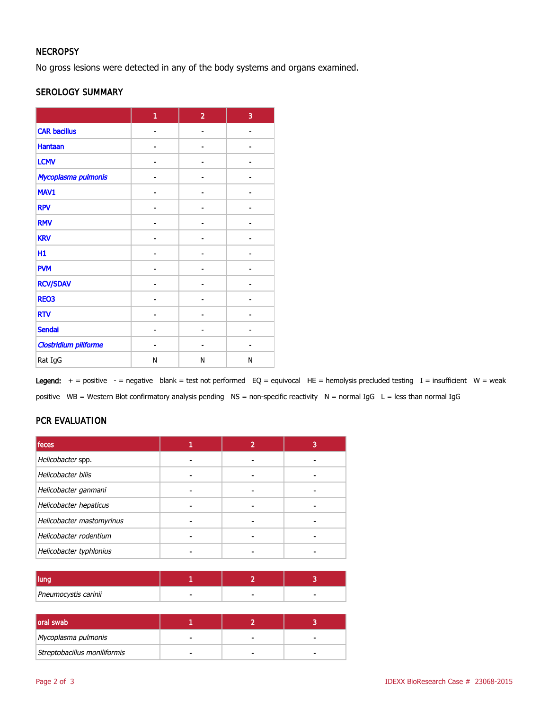# **NECROPSY**

No gross lesions were detected in any of the body systems and organs examined.

### SEROLOGY SUMMARY

|                              | 1 | $\overline{2}$ | 3  |
|------------------------------|---|----------------|----|
| <b>CAR bacillus</b>          |   |                |    |
| <b>Hantaan</b>               |   |                |    |
| <b>LCMV</b>                  |   | Ĭ.             |    |
| Mycoplasma pulmonis          |   |                |    |
| MAV1                         |   | ۰              | Ē. |
| <b>RPV</b>                   |   |                |    |
| <b>RMV</b>                   |   |                |    |
| <b>KRV</b>                   |   |                |    |
| H1                           |   | $\blacksquare$ |    |
| <b>PVM</b>                   |   |                |    |
| <b>RCV/SDAV</b>              |   |                |    |
| <b>REO3</b>                  |   |                |    |
| <b>RTV</b>                   |   |                |    |
| <b>Sendai</b>                |   |                |    |
| <b>Clostridium piliforme</b> |   |                |    |
| Rat IgG                      | N | N              | Ν  |

Legend:  $+$  = positive - = negative blank = test not performed EQ = equivocal HE = hemolysis precluded testing I = insufficient W = weak positive WB = Western Blot confirmatory analysis pending NS = non-specific reactivity N = normal IgG L = less than normal IgG

# PCR EVALUATION

| feces                     |  |  |
|---------------------------|--|--|
| Helicobacter spp.         |  |  |
| Helicobacter bilis        |  |  |
| Helicobacter ganmani      |  |  |
| Helicobacter hepaticus    |  |  |
| Helicobacter mastomyrinus |  |  |
| Helicobacter rodentium    |  |  |
| Helicobacter typhlonius   |  |  |

| Pneumocystis carinii |  |  |
|----------------------|--|--|

| oral swab                    |  |  |
|------------------------------|--|--|
| Mycoplasma pulmonis          |  |  |
| Streptobacillus moniliformis |  |  |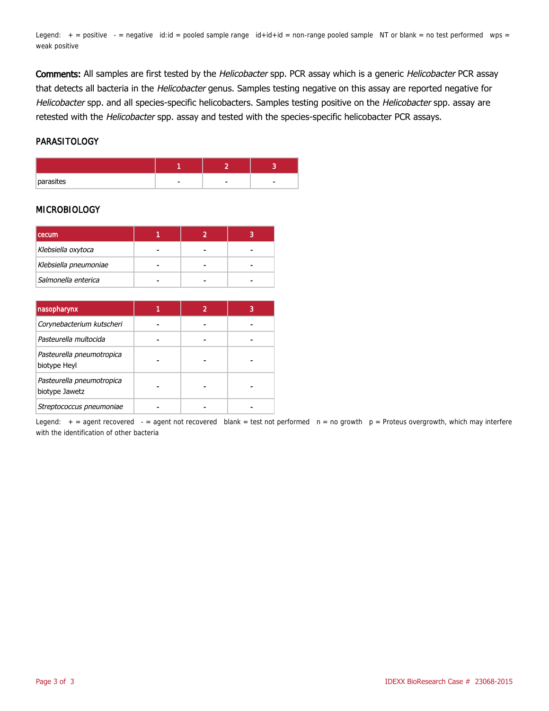Legend:  $+$  = positive  $-$  = negative id:id = pooled sample range  $id+id+id$  = non-range pooled sample NT or blank = no test performed wps = weak positive

Comments: All samples are first tested by the Helicobacter spp. PCR assay which is a generic Helicobacter PCR assay that detects all bacteria in the Helicobacter genus. Samples testing negative on this assay are reported negative for Helicobacter spp. and all species-specific helicobacters. Samples testing positive on the Helicobacter spp. assay are retested with the Helicobacter spp. assay and tested with the species-specific helicobacter PCR assays.

### PARASITOLOGY

| parasites |  | ۰ |
|-----------|--|---|

### MICROBIOLOGY

| <b>I</b> cecum        |  |  |
|-----------------------|--|--|
| Klebsiella oxytoca    |  |  |
| Klebsiella pneumoniae |  |  |
| Salmonella enterica   |  |  |

| nasopharynx                                 |  | 3 |
|---------------------------------------------|--|---|
| Corynebacterium kutscheri                   |  |   |
| Pasteurella multocida                       |  |   |
| Pasteurella pneumotropica<br>biotype Heyl   |  |   |
| Pasteurella pneumotropica<br>biotype Jawetz |  |   |
| Streptococcus pneumoniae                    |  |   |

Legend:  $+$  = agent recovered  $-$  = agent not recovered blank = test not performed  $n = no$  growth  $p =$  Proteus overgrowth, which may interfere with the identification of other bacteria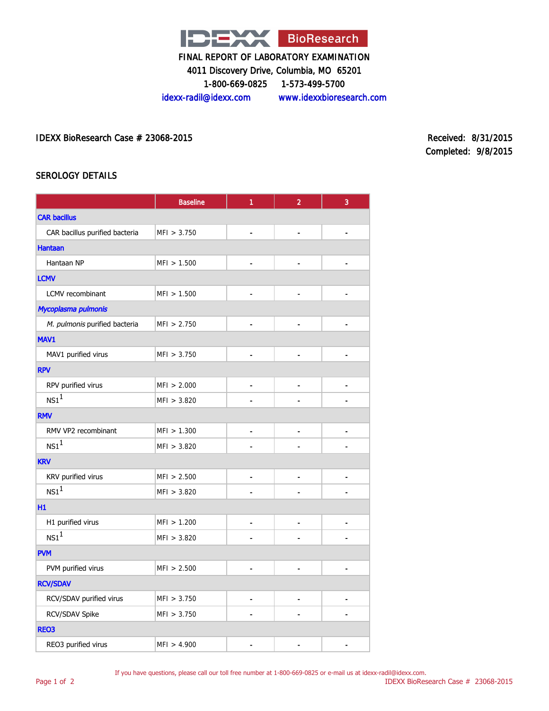

4011 Discovery Drive, Columbia, MO 65201

1-800-669-0825 1-573-499-5700

idexx-radil@idexx.com www.idexxbioresearch.com

IDEXX BioResearch Case # 23068-2015 Received: 8/31/2015

Completed: 9/8/2015

### SEROLOGY DETAILS

|                                | <b>Baseline</b> | 1                        | $\overline{a}$               | 3                            |  |
|--------------------------------|-----------------|--------------------------|------------------------------|------------------------------|--|
| <b>CAR bacillus</b>            |                 |                          |                              |                              |  |
| CAR bacillus purified bacteria | MFI > 3.750     |                          | $\overline{\phantom{0}}$     | ٠                            |  |
| <b>Hantaan</b>                 |                 |                          |                              |                              |  |
| Hantaan NP                     | MFI > 1.500     | $\blacksquare$           |                              |                              |  |
| <b>LCMV</b>                    |                 |                          |                              |                              |  |
| LCMV recombinant               | MFI > 1.500     | $\blacksquare$           | $\overline{\phantom{a}}$     |                              |  |
| Mycoplasma pulmonis            |                 |                          |                              |                              |  |
| M. pulmonis purified bacteria  | MF1 > 2.750     | $\blacksquare$           |                              |                              |  |
| MAV1                           |                 |                          |                              |                              |  |
| MAV1 purified virus            | MFI > 3.750     | $\overline{\phantom{a}}$ | $\qquad \qquad \blacksquare$ | $\qquad \qquad \blacksquare$ |  |
| <b>RPV</b>                     |                 |                          |                              |                              |  |
| RPV purified virus             | MFI > 2.000     | $\overline{\phantom{a}}$ | -                            |                              |  |
| $NS1^1$                        | MFI > 3.820     |                          |                              |                              |  |
| <b>RMV</b>                     |                 |                          |                              |                              |  |
| RMV VP2 recombinant            | MFI > 1.300     | $\overline{\phantom{a}}$ |                              |                              |  |
| $NS1^1$                        | MFI > 3.820     |                          |                              |                              |  |
| <b>KRV</b>                     |                 |                          |                              |                              |  |
| KRV purified virus             | MFI > 2.500     | $\overline{\phantom{a}}$ | $\qquad \qquad \blacksquare$ |                              |  |
| NS1 <sup>1</sup>               | MFI > 3.820     |                          |                              |                              |  |
| H <sub>1</sub>                 |                 |                          |                              |                              |  |
| H1 purified virus              | MFI > 1.200     |                          |                              |                              |  |
| $NS1^1$                        | MFI > 3.820     |                          |                              |                              |  |
| <b>PVM</b>                     |                 |                          |                              |                              |  |
| PVM purified virus             | MFI > 2.500     |                          |                              |                              |  |
| <b>RCV/SDAV</b>                |                 |                          |                              |                              |  |
| RCV/SDAV purified virus        | MFI > 3.750     | $\blacksquare$           | $\qquad \qquad \blacksquare$ |                              |  |
| RCV/SDAV Spike                 | MFI > 3.750     |                          |                              |                              |  |
| <b>REO3</b>                    |                 |                          |                              |                              |  |
| REO3 purified virus            | MFI > 4.900     |                          |                              |                              |  |

If you have questions, please call our toll free number at 1-800-669-0825 or e-mail us at idexx-radil@idexx.com.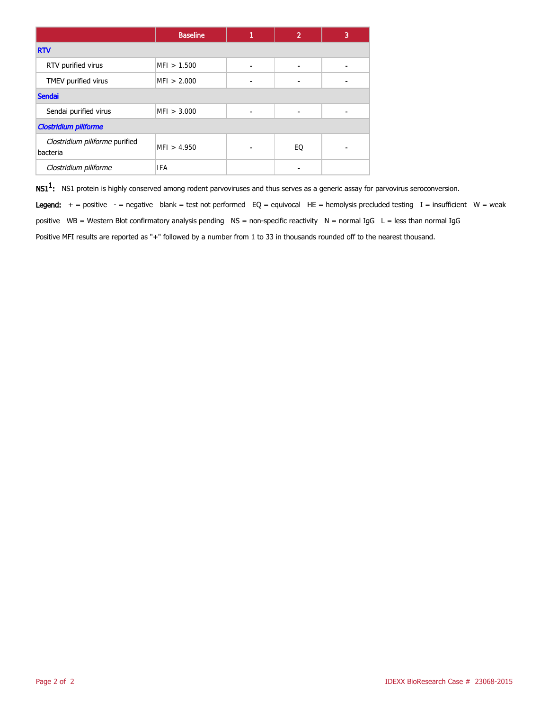|                                            | <b>Baseline</b> | 1 | $\overline{2}$ | 3 |  |  |
|--------------------------------------------|-----------------|---|----------------|---|--|--|
| <b>RTV</b>                                 |                 |   |                |   |  |  |
| RTV purified virus                         | MFI > 1.500     |   |                |   |  |  |
| TMEV purified virus                        | MFI > 2.000     |   |                |   |  |  |
| <b>Sendai</b>                              |                 |   |                |   |  |  |
| Sendai purified virus                      | MFI > 3.000     |   |                |   |  |  |
| <b>Clostridium piliforme</b>               |                 |   |                |   |  |  |
| Clostridium piliforme purified<br>bacteria | MF1 > 4.950     |   | EQ             |   |  |  |
| Clostridium piliforme                      | <b>IFA</b>      |   |                |   |  |  |

 $\textsf{NS1}^1$ : NS1 protein is highly conserved among rodent parvoviruses and thus serves as a generic assay for parvovirus seroconversion.

Legend:  $+$  = positive - = negative blank = test not performed EQ = equivocal HE = hemolysis precluded testing I = insufficient W = weak positive WB = Western Blot confirmatory analysis pending NS = non-specific reactivity N = normal IgG L = less than normal IgG Positive MFI results are reported as "+" followed by a number from 1 to 33 in thousands rounded off to the nearest thousand.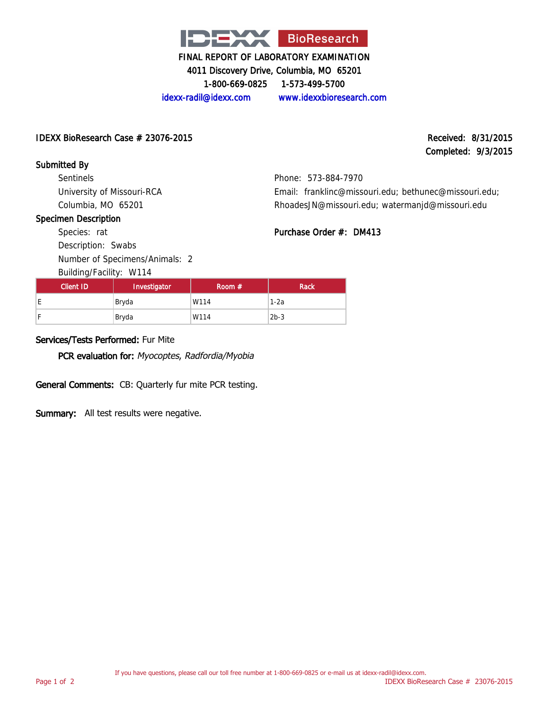

4011 Discovery Drive, Columbia, MO 65201

1-800-669-0825 1-573-499-5700

idexx-radil@idexx.com www.idexxbioresearch.com

### IDEXX BioResearch Case  $\#$  23076-2015 Received: 8/31/2015

# Completed: 9/3/2015

Submitted By

Sentinels University of Missouri-RCA Columbia, MO 65201

# Phone: 573-884-7970 Email: franklinc@missouri.edu; bethunec@missouri.edu; RhoadesJN@missouri.edu; watermanjd@missouri.edu

### Specimen Description

Purchase Order #: DM413

| Species: rat |  |  |
|--------------|--|--|
|              |  |  |

Description: Swabs Number of Specimens/Animals: 2

Building/Facility: W114

| Client ID | Investigator | Room $#$ | Rack   |
|-----------|--------------|----------|--------|
| Έ         | Bryda        | W114     | $1-2a$ |
|           | Bryda        | W114     | $2b-3$ |

# Services/Tests Performed: Fur Mite

PCR evaluation for: Myocoptes, Radfordia/Myobia

General Comments: CB: Quarterly fur mite PCR testing.